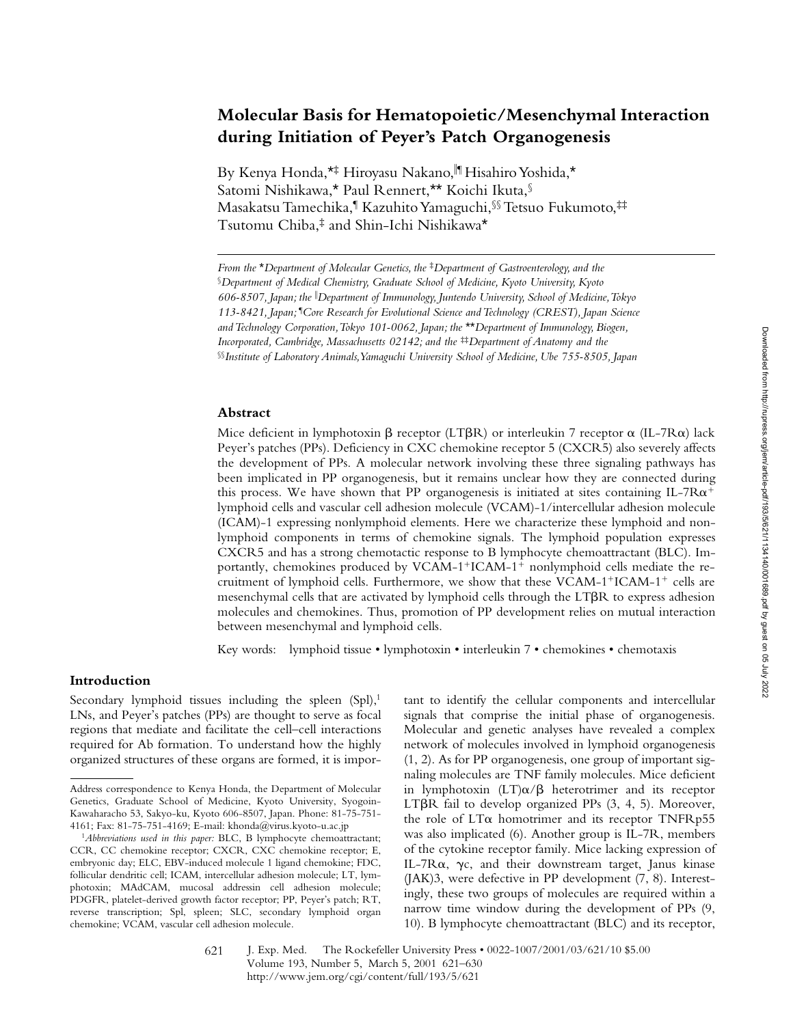# **Molecular Basis for Hematopoietic/Mesenchymal Interaction during Initiation of Peyer's Patch Organogenesis**

By Kenya Honda,\*<sup>‡</sup> Hiroyasu Nakano, III Hisahiro Yoshida,\* Satomi Nishikawa,\* Paul Rennert,\*\* Koichi Ikuta,§ Masakatsu Tamechika,¶ Kazuhito Yamaguchi,§§ Tetsuo Fukumoto,‡‡ Tsutomu Chiba,‡ and Shin-Ichi Nishikawa\*

## **Abstract**

Mice deficient in lymphotoxin  $\beta$  receptor (LT $\beta$ R) or interleukin 7 receptor  $\alpha$  (IL-7R $\alpha$ ) lack Peyer's patches (PPs). Deficiency in CXC chemokine receptor 5 (CXCR5) also severely affects the development of PPs. A molecular network involving these three signaling pathways has been implicated in PP organogenesis, but it remains unclear how they are connected during this process. We have shown that PP organogenesis is initiated at sites containing IL-7R $\alpha^+$ lymphoid cells and vascular cell adhesion molecule (VCAM)-1/intercellular adhesion molecule (ICAM)-1 expressing nonlymphoid elements. Here we characterize these lymphoid and nonlymphoid components in terms of chemokine signals. The lymphoid population expresses CXCR5 and has a strong chemotactic response to B lymphocyte chemoattractant (BLC). Importantly, chemokines produced by  $VCAM-1+ICAM-1+$  nonlymphoid cells mediate the recruitment of lymphoid cells. Furthermore, we show that these  $VCAM-1+ICAM-1+$  cells are mesenchymal cells that are activated by lymphoid cells through the  $LT\beta R$  to express adhesion molecules and chemokines. Thus, promotion of PP development relies on mutual interaction between mesenchymal and lymphoid cells.

Key words: lymphoid tissue • lymphotoxin • interleukin 7 • chemokines • chemotaxis

## **Introduction**

Secondary lymphoid tissues including the spleen  $(Spl)<sup>1</sup>$ LNs, and Peyer's patches (PPs) are thought to serve as focal regions that mediate and facilitate the cell–cell interactions required for Ab formation. To understand how the highly organized structures of these organs are formed, it is impor-

tant to identify the cellular components and intercellular signals that comprise the initial phase of organogenesis. Molecular and genetic analyses have revealed a complex network of molecules involved in lymphoid organogenesis (1, 2). As for PP organogenesis, one group of important signaling molecules are TNF family molecules. Mice deficient in lymphotoxin  $(LT)\alpha/\beta$  heterotrimer and its receptor LT $\beta$ R fail to develop organized PPs (3, 4, 5). Moreover, the role of LTa homotrimer and its receptor TNFRp55 was also implicated (6). Another group is IL-7R, members of the cytokine receptor family. Mice lacking expression of IL-7 $R\alpha$ ,  $\gamma c$ , and their downstream target, Janus kinase (JAK)3, were defective in PP development (7, 8). Interestingly, these two groups of molecules are required within a narrow time window during the development of PPs (9, 10). B lymphocyte chemoattractant (BLC) and its receptor,

*From the* \**Department of Molecular Genetics, the* ‡*Department of Gastroenterology, and the*  §*Department of Medical Chemistry, Graduate School of Medicine, Kyoto University, Kyoto 606-8507, Japan; the* <sup>i</sup> *Department of Immunology, Juntendo University, School of Medicine, Tokyo 113-8421, Japan;* ¶ *Core Research for Evolutional Science and Technology (CREST), Japan Science and Technology Corporation, Tokyo 101-0062, Japan; the* \*\**Department of Immunology, Biogen, Incorporated, Cambridge, Massachusetts 02142; and the*<sup>#</sup>*Department of Anatomy and the* §§*Institute of Laboratory Animals, Yamaguchi University School of Medicine, Ube 755-8505, Japan*

Address correspondence to Kenya Honda, the Department of Molecular Genetics, Graduate School of Medicine, Kyoto University, Syogoin-Kawaharacho 53, Sakyo-ku, Kyoto 606-8507, Japan. Phone: 81-75-751- 4161; Fax: 81-75-751-4169; E-mail: khonda@virus.kyoto-u.ac.jp

<sup>1</sup>*Abbreviations used in this paper:* BLC, B lymphocyte chemoattractant; CCR, CC chemokine receptor; CXCR, CXC chemokine receptor; E, embryonic day; ELC, EBV-induced molecule 1 ligand chemokine; FDC, follicular dendritic cell; ICAM, intercellular adhesion molecule; LT, lymphotoxin; MAdCAM, mucosal addressin cell adhesion molecule; PDGFR, platelet-derived growth factor receptor; PP, Peyer's patch; RT, reverse transcription; Spl, spleen; SLC, secondary lymphoid organ chemokine; VCAM, vascular cell adhesion molecule.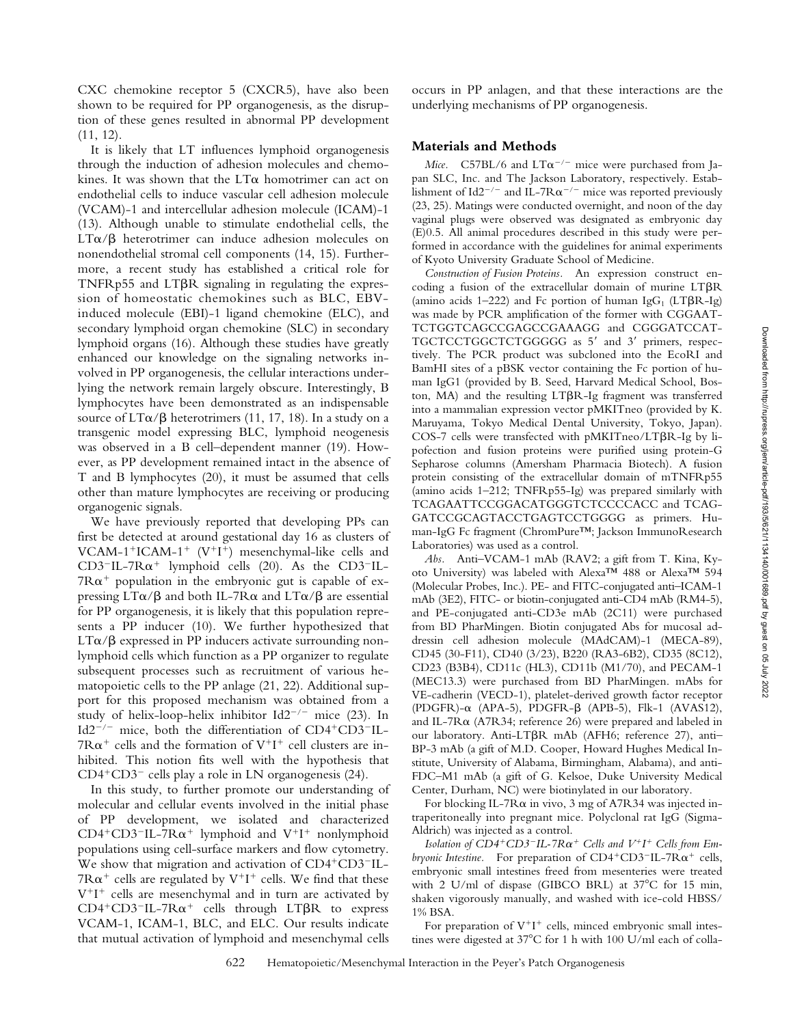CXC chemokine receptor 5 (CXCR5), have also been shown to be required for PP organogenesis, as the disruption of these genes resulted in abnormal PP development (11, 12).

It is likely that LT influences lymphoid organogenesis through the induction of adhesion molecules and chemokines. It was shown that the  $LT\alpha$  homotrimer can act on endothelial cells to induce vascular cell adhesion molecule (VCAM)-1 and intercellular adhesion molecule (ICAM)-1 (13). Although unable to stimulate endothelial cells, the  $LT\alpha/\beta$  heterotrimer can induce adhesion molecules on nonendothelial stromal cell components (14, 15). Furthermore, a recent study has established a critical role for  $TNFRp55$  and  $LT\beta R$  signaling in regulating the expression of homeostatic chemokines such as BLC, EBVinduced molecule (EBI)-1 ligand chemokine (ELC), and secondary lymphoid organ chemokine (SLC) in secondary lymphoid organs (16). Although these studies have greatly enhanced our knowledge on the signaling networks involved in PP organogenesis, the cellular interactions underlying the network remain largely obscure. Interestingly, B lymphocytes have been demonstrated as an indispensable source of  $LT\alpha/\beta$  heterotrimers (11, 17, 18). In a study on a transgenic model expressing BLC, lymphoid neogenesis was observed in a B cell–dependent manner (19). However, as PP development remained intact in the absence of T and B lymphocytes (20), it must be assumed that cells other than mature lymphocytes are receiving or producing organogenic signals.

We have previously reported that developing PPs can first be detected at around gestational day 16 as clusters of VCAM-1<sup>+</sup>ICAM-1<sup>+</sup> (V<sup>+</sup>I<sup>+</sup>) mesenchymal-like cells and CD3<sup>-</sup>IL-7R $\alpha$ <sup>+</sup> lymphoid cells (20). As the CD3<sup>-</sup>IL- $7R\alpha^+$  population in the embryonic gut is capable of expressing  $LT\alpha/\beta$  and both IL-7R $\alpha$  and  $LT\alpha/\beta$  are essential for PP organogenesis, it is likely that this population represents a PP inducer (10). We further hypothesized that  $LT\alpha/\beta$  expressed in PP inducers activate surrounding nonlymphoid cells which function as a PP organizer to regulate subsequent processes such as recruitment of various hematopoietic cells to the PP anlage (21, 22). Additional support for this proposed mechanism was obtained from a study of helix-loop-helix inhibitor  $Id2^{-/-}$  mice (23). In Id2<sup>-/-</sup> mice, both the differentiation of  $CD4+CD3=IL 7R\alpha^+$  cells and the formation of  $V^+I^+$  cell clusters are inhibited. This notion fits well with the hypothesis that  $CD4+CD3$ <sup>-</sup> cells play a role in LN organogenesis  $(24)$ .

In this study, to further promote our understanding of molecular and cellular events involved in the initial phase of PP development, we isolated and characterized  $CD4+CD3=IL-7R\alpha+1$  lymphoid and  $V+I+1$  nonlymphoid populations using cell-surface markers and flow cytometry. We show that migration and activation of  $CD4+CD3$ <sup>-</sup>IL- $7R\alpha^+$  cells are regulated by  $V^+I^+$  cells. We find that these  $V^+I^+$  cells are mesenchymal and in turn are activated by  $CD4+CD3-IL-7R\alpha^+$  cells through LT $\beta R$  to express VCAM-1, ICAM-1, BLC, and ELC. Our results indicate that mutual activation of lymphoid and mesenchymal cells

occurs in PP anlagen, and that these interactions are the underlying mechanisms of PP organogenesis.

#### **Materials and Methods**

*Mice.* C57BL/6 and  $LT\alpha^{-/-}$  mice were purchased from Japan SLC, Inc. and The Jackson Laboratory, respectively. Establishment of Id2<sup>-/-</sup> and IL-7R $\alpha$ <sup>-/-</sup> mice was reported previously (23, 25). Matings were conducted overnight, and noon of the day vaginal plugs were observed was designated as embryonic day (E)0.5. All animal procedures described in this study were performed in accordance with the guidelines for animal experiments of Kyoto University Graduate School of Medicine.

*Construction of Fusion Proteins.* An expression construct encoding a fusion of the extracellular domain of murine  $LT\beta R$ (amino acids 1–222) and Fc portion of human IgG<sub>1</sub> (LT $\beta$ R-Ig) was made by PCR amplification of the former with CGGAAT-TCTGGTCAGCCGAGCCGAAAGG and CGGGATCCAT-TGCTCCTGGCTCTGGGGG as 5' and 3' primers, respectively. The PCR product was subcloned into the EcoRI and BamHI sites of a pBSK vector containing the Fc portion of human IgG1 (provided by B. Seed, Harvard Medical School, Boston, MA) and the resulting  $LT\beta R$ -Ig fragment was transferred into a mammalian expression vector pMKITneo (provided by K. Maruyama, Tokyo Medical Dental University, Tokyo, Japan). COS-7 cells were transfected with  $pMKTneo/LT\beta R-Ig$  by lipofection and fusion proteins were purified using protein-G Sepharose columns (Amersham Pharmacia Biotech). A fusion protein consisting of the extracellular domain of mTNFRp55 (amino acids 1–212; TNFRp55-Ig) was prepared similarly with TCAGAATTCCGGACATGGGTCTCCCCACC and TCAG-GATCCGCAGTACCTGAGTCCTGGGG as primers. Human-IgG Fc fragment (ChromPure™; Jackson ImmunoResearch Laboratories) was used as a control.

*Abs.* Anti–VCAM-1 mAb (RAV2; a gift from T. Kina, Kyoto University) was labeled with Alexa™ 488 or Alexa™ 594 (Molecular Probes, Inc.). PE- and FITC-conjugated anti–ICAM-1 mAb (3E2), FITC- or biotin-conjugated anti-CD4 mAb (RM4-5), and PE-conjugated anti-CD3e mAb (2C11) were purchased from BD PharMingen. Biotin conjugated Abs for mucosal addressin cell adhesion molecule (MAdCAM)-1 (MECA-89), CD45 (30-F11), CD40 (3/23), B220 (RA3-6B2), CD35 (8C12), CD23 (B3B4), CD11c (HL3), CD11b (M1/70), and PECAM-1 (MEC13.3) were purchased from BD PharMingen. mAbs for VE-cadherin (VECD-1), platelet-derived growth factor receptor  $(PDGFR)$ - $\alpha$  (APA-5), PDGFR- $\beta$  (APB-5), Flk-1 (AVAS12), and IL-7 $R\alpha$  (A7 $R34$ ; reference 26) were prepared and labeled in our laboratory. Anti-LT $\beta$ R mAb (AFH6; reference 27), anti-BP-3 mAb (a gift of M.D. Cooper, Howard Hughes Medical Institute, University of Alabama, Birmingham, Alabama), and anti-FDC–M1 mAb (a gift of G. Kelsoe, Duke University Medical Center, Durham, NC) were biotinylated in our laboratory.

For blocking IL-7Ra in vivo, 3 mg of A7R34 was injected intraperitoneally into pregnant mice. Polyclonal rat IgG (Sigma-Aldrich) was injected as a control.

*Isolation of CD4<sup>+</sup>CD3<sup>-</sup>IL-7R* $\alpha$ *<sup>+</sup> Cells and*  $V$ *<sup>+</sup>I<sup>+</sup> Cells from Embryonic Intestine.* For preparation of  $CD4+CD3=IL-7R\alpha^+$  cells, embryonic small intestines freed from mesenteries were treated with 2 U/ml of dispase (GIBCO BRL) at  $37^{\circ}$ C for 15 min, shaken vigorously manually, and washed with ice-cold HBSS/ 1% BSA.

For preparation of  $V^+I^+$  cells, minced embryonic small intestines were digested at 37°C for 1 h with 100 U/ml each of colla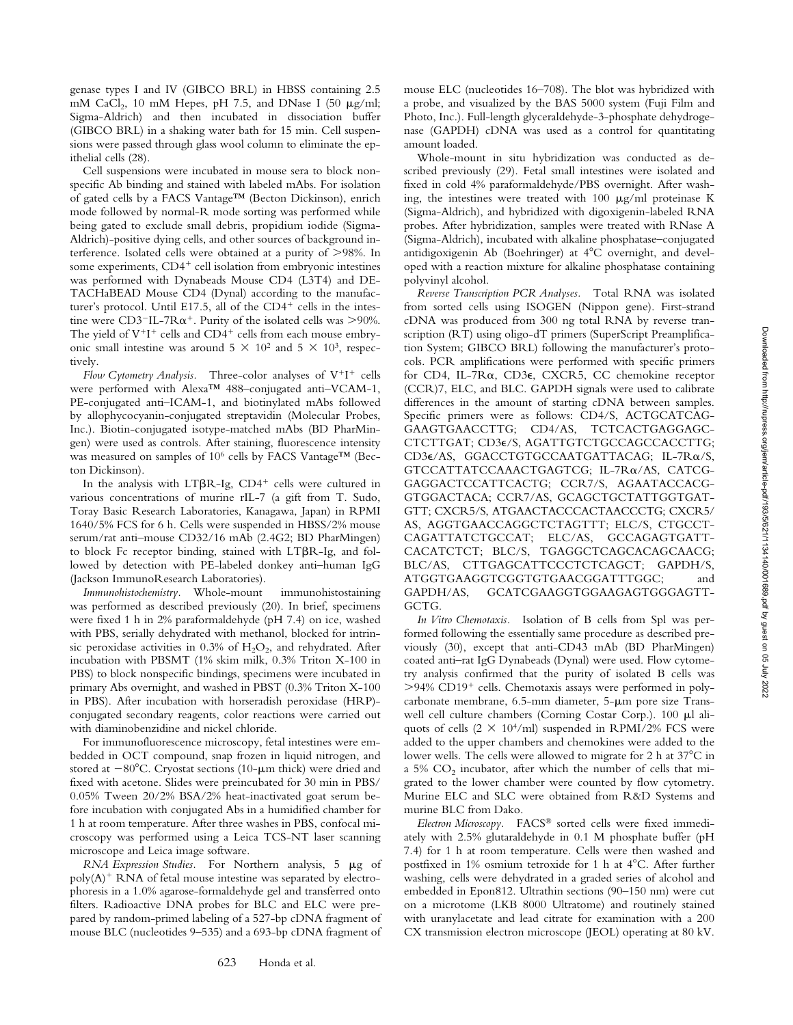genase types I and IV (GIBCO BRL) in HBSS containing 2.5 mM CaCl<sub>2</sub>, 10 mM Hepes, pH 7.5, and DNase I (50  $\mu$ g/ml; Sigma-Aldrich) and then incubated in dissociation buffer (GIBCO BRL) in a shaking water bath for 15 min. Cell suspensions were passed through glass wool column to eliminate the epithelial cells (28).

Cell suspensions were incubated in mouse sera to block nonspecific Ab binding and stained with labeled mAbs. For isolation of gated cells by a FACS Vantage™ (Becton Dickinson), enrich mode followed by normal-R mode sorting was performed while being gated to exclude small debris, propidium iodide (Sigma-Aldrich)-positive dying cells, and other sources of background interference. Isolated cells were obtained at a purity of  $>98\%$ . In some experiments,  $CD4<sup>+</sup>$  cell isolation from embryonic intestines was performed with Dynabeads Mouse CD4 (L3T4) and DE-TACHaBEAD Mouse CD4 (Dynal) according to the manufacturer's protocol. Until E17.5, all of the  $CD4^+$  cells in the intestine were CD3<sup>-</sup>IL-7R $\alpha^+$ . Purity of the isolated cells was >90%. The yield of  $V^+I^+$  cells and  $CD4^+$  cells from each mouse embryonic small intestine was around  $5 \times 10^2$  and  $5 \times 10^3$ , respectively.

*Flow Cytometry Analysis.* Three-color analyses of  $V^+I^+$  cells were performed with Alexa™ 488–conjugated anti–VCAM-1, PE-conjugated anti–ICAM-1, and biotinylated mAbs followed by allophycocyanin-conjugated streptavidin (Molecular Probes, Inc.). Biotin-conjugated isotype-matched mAbs (BD PharMingen) were used as controls. After staining, fluorescence intensity was measured on samples of 106 cells by FACS Vantage™ (Becton Dickinson).

In the analysis with LT $\beta$ R-Ig, CD4<sup>+</sup> cells were cultured in various concentrations of murine rIL-7 (a gift from T. Sudo, Toray Basic Research Laboratories, Kanagawa, Japan) in RPMI 1640/5% FCS for 6 h. Cells were suspended in HBSS/2% mouse serum/rat anti–mouse CD32/16 mAb (2.4G2; BD PharMingen) to block Fc receptor binding, stained with  $LT\beta R-Ig$ , and followed by detection with PE-labeled donkey anti–human IgG (Jackson ImmunoResearch Laboratories).

*Immunohistochemistry.* Whole-mount immunohistostaining was performed as described previously (20). In brief, specimens were fixed 1 h in 2% paraformaldehyde (pH 7.4) on ice, washed with PBS, serially dehydrated with methanol, blocked for intrinsic peroxidase activities in  $0.3\%$  of  $H_2O_2$ , and rehydrated. After incubation with PBSMT (1% skim milk, 0.3% Triton X-100 in PBS) to block nonspecific bindings, specimens were incubated in primary Abs overnight, and washed in PBST (0.3% Triton X-100 in PBS). After incubation with horseradish peroxidase (HRP) conjugated secondary reagents, color reactions were carried out with diaminobenzidine and nickel chloride.

For immunofluorescence microscopy, fetal intestines were embedded in OCT compound, snap frozen in liquid nitrogen, and stored at  $-80^{\circ}$ C. Cryostat sections (10- $\mu$ m thick) were dried and fixed with acetone. Slides were preincubated for 30 min in PBS/ 0.05% Tween 20/2% BSA/2% heat-inactivated goat serum before incubation with conjugated Abs in a humidified chamber for 1 h at room temperature. After three washes in PBS, confocal microscopy was performed using a Leica TCS-NT laser scanning microscope and Leica image software.

*RNA Expression Studies.* For Northern analysis, 5  $\mu$ g of  $poly(A)^+$  RNA of fetal mouse intestine was separated by electrophoresis in a 1.0% agarose-formaldehyde gel and transferred onto filters. Radioactive DNA probes for BLC and ELC were prepared by random-primed labeling of a 527-bp cDNA fragment of mouse BLC (nucleotides 9–535) and a 693-bp cDNA fragment of

mouse ELC (nucleotides 16–708). The blot was hybridized with a probe, and visualized by the BAS 5000 system (Fuji Film and Photo, Inc.). Full-length glyceraldehyde-3-phosphate dehydrogenase (GAPDH) cDNA was used as a control for quantitating amount loaded.

Whole-mount in situ hybridization was conducted as described previously (29). Fetal small intestines were isolated and fixed in cold 4% paraformaldehyde/PBS overnight. After washing, the intestines were treated with  $100 \mu g/ml$  proteinase K (Sigma-Aldrich), and hybridized with digoxigenin-labeled RNA probes. After hybridization, samples were treated with RNase A (Sigma-Aldrich), incubated with alkaline phosphatase–conjugated antidigoxigenin Ab (Boehringer) at  $4^{\circ}$ C overnight, and developed with a reaction mixture for alkaline phosphatase containing polyvinyl alcohol.

*Reverse Transcription PCR Analyses.* Total RNA was isolated from sorted cells using ISOGEN (Nippon gene). First-strand cDNA was produced from 300 ng total RNA by reverse transcription (RT) using oligo-dT primers (SuperScript Preamplification System; GIBCO BRL) following the manufacturer's protocols. PCR amplifications were performed with specific primers for CD4, IL-7Ra, CD3e, CXCR5, CC chemokine receptor (CCR)7, ELC, and BLC. GAPDH signals were used to calibrate differences in the amount of starting cDNA between samples. Specific primers were as follows: CD4/S, ACTGCATCAG-GAAGTGAACCTTG; CD4/AS, TCTCACTGAGGAGC-CTCTTGAT; CD3e/S, AGATTGTCTGCCAGCCACCTTG; CD3e/AS, GGACCTGTGCCAATGATTACAG; IL-7Ra/S, GTCCATTATCCAAACTGAGTCG; IL-7Ra/AS, CATCG-GAGGACTCCATTCACTG; CCR7/S, AGAATACCACG-GTGGACTACA; CCR7/AS, GCAGCTGCTATTGGTGAT-GTT; CXCR5/S, ATGAACTACCCACTAACCCTG; CXCR5/ AS, AGGTGAACCAGGCTCTAGTTT; ELC/S, CTGCCT-CAGATTATCTGCCAT; ELC/AS, GCCAGAGTGATT-CACATCTCT; BLC/S, TGAGGCTCAGCACAGCAACG; BLC/AS, CTTGAGCATTCCCTCTCAGCT; GAPDH/S, ATGGTGAAGGTCGGTGTGAACGGATTTGGC; and GAPDH/AS, GCATCGAAGGTGGAAGAGTGGGAGTT-GCTG.

*In Vitro Chemotaxis.* Isolation of B cells from Spl was performed following the essentially same procedure as described previously (30), except that anti-CD43 mAb (BD PharMingen) coated anti–rat IgG Dynabeads (Dynal) were used. Flow cytometry analysis confirmed that the purity of isolated B cells was >94% CD19<sup>+</sup> cells. Chemotaxis assays were performed in polycarbonate membrane,  $6.5$ -mm diameter,  $5$ - $\mu$ m pore size Transwell cell culture chambers (Corning Costar Corp.). 100  $\mu$ l aliquots of cells  $(2 \times 10^4/\text{ml})$  suspended in RPMI/2% FCS were added to the upper chambers and chemokines were added to the lower wells. The cells were allowed to migrate for 2 h at  $37^{\circ}$ C in a 5%  $CO<sub>2</sub>$  incubator, after which the number of cells that migrated to the lower chamber were counted by flow cytometry. Murine ELC and SLC were obtained from R&D Systems and murine BLC from Dako.

*Electron Microscopy.* FACS® sorted cells were fixed immediately with 2.5% glutaraldehyde in 0.1 M phosphate buffer (pH 7.4) for 1 h at room temperature. Cells were then washed and postfixed in  $1\%$  osmium tetroxide for 1 h at  $4^{\circ}$ C. After further washing, cells were dehydrated in a graded series of alcohol and embedded in Epon812. Ultrathin sections (90–150 nm) were cut on a microtome (LKB 8000 Ultratome) and routinely stained with uranylacetate and lead citrate for examination with a 200 CX transmission electron microscope (JEOL) operating at 80 kV.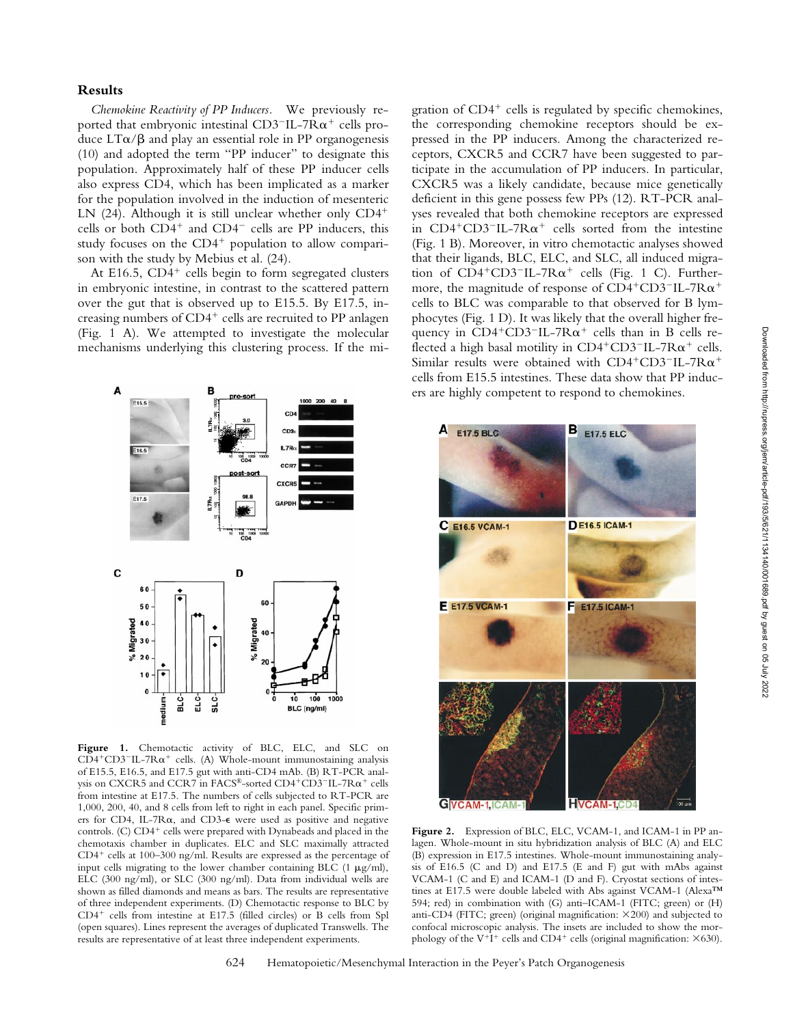## **Results**

*Chemokine Reactivity of PP Inducers.* We previously reported that embryonic intestinal CD3<sup>-</sup>IL-7R $\alpha^+$  cells produce  $LT\alpha/\beta$  and play an essential role in PP organogenesis (10) and adopted the term "PP inducer" to designate this population. Approximately half of these PP inducer cells also express CD4, which has been implicated as a marker for the population involved in the induction of mesenteric LN  $(24)$ . Although it is still unclear whether only  $CD4^+$ cells or both  $CD4^+$  and  $CD4^-$  cells are PP inducers, this study focuses on the  $CD4^+$  population to allow comparison with the study by Mebius et al. (24).

At E16.5,  $CD4^+$  cells begin to form segregated clusters in embryonic intestine, in contrast to the scattered pattern over the gut that is observed up to E15.5. By E17.5, increasing numbers of  $CD4^+$  cells are recruited to PP anlagen (Fig. 1 A). We attempted to investigate the molecular mechanisms underlying this clustering process. If the mi-



Figure 1. Chemotactic activity of BLC, ELC, and SLC on  $CD4+CD3=IL-7R\alpha+$  cells. (A) Whole-mount immunostaining analysis of E15.5, E16.5, and E17.5 gut with anti-CD4 mAb. (B) RT-PCR analysis on CXCR5 and CCR7 in FACS®-sorted CD4+CD3-IL-7R $\alpha^+$  cells from intestine at E17.5. The numbers of cells subjected to RT-PCR are 1,000, 200, 40, and 8 cells from left to right in each panel. Specific primers for CD4, IL-7Ra, and CD3-e were used as positive and negative controls. (C)  $CD4^+$  cells were prepared with Dynabeads and placed in the chemotaxis chamber in duplicates. ELC and SLC maximally attracted  $CD4^+$  cells at 100–300 ng/ml. Results are expressed as the percentage of input cells migrating to the lower chamber containing BLC  $(1 \mu g/ml)$ , ELC (300 ng/ml), or SLC (300 ng/ml). Data from individual wells are shown as filled diamonds and means as bars. The results are representative of three independent experiments. (D) Chemotactic response to BLC by  $CD4^+$  cells from intestine at E17.5 (filled circles) or B cells from Spl (open squares). Lines represent the averages of duplicated Transwells. The results are representative of at least three independent experiments.

gration of  $CD4^+$  cells is regulated by specific chemokines, the corresponding chemokine receptors should be expressed in the PP inducers. Among the characterized receptors, CXCR5 and CCR7 have been suggested to participate in the accumulation of PP inducers. In particular, CXCR5 was a likely candidate, because mice genetically deficient in this gene possess few PPs (12). RT-PCR analyses revealed that both chemokine receptors are expressed in  $CD4+CD3-IL-7R\alpha^+$  cells sorted from the intestine (Fig. 1 B). Moreover, in vitro chemotactic analyses showed that their ligands, BLC, ELC, and SLC, all induced migration of  $CD4+CD3=IL-7R\alpha+$  cells (Fig. 1 C). Furthermore, the magnitude of response of  $CD4^+CD3^-$ IL-7R $\alpha^+$ cells to BLC was comparable to that observed for B lymphocytes (Fig. 1 D). It was likely that the overall higher frequency in  $CD4+CD3=IL-7R\alpha^+$  cells than in B cells reflected a high basal motility in  $CD4+CD3=1L-7R\alpha^+$  cells. Similar results were obtained with CD4+CD3-IL-7R $\alpha$ + cells from E15.5 intestines. These data show that PP inducers are highly competent to respond to chemokines.



**Figure 2.** Expression of BLC, ELC, VCAM-1, and ICAM-1 in PP anlagen. Whole-mount in situ hybridization analysis of BLC (A) and ELC (B) expression in E17.5 intestines. Whole-mount immunostaining analysis of E16.5 (C and D) and E17.5 (E and F) gut with mAbs against VCAM-1 (C and E) and ICAM-1 (D and F). Cryostat sections of intestines at E17.5 were double labeled with Abs against VCAM-1 (Alexa™ 594; red) in combination with (G) anti–ICAM-1 (FITC; green) or (H) anti-CD4 (FITC; green) (original magnification:  $\times$ 200) and subjected to confocal microscopic analysis. The insets are included to show the morphology of the V<sup>+</sup>I<sup>+</sup> cells and CD4<sup>+</sup> cells (original magnification:  $\times$ 630).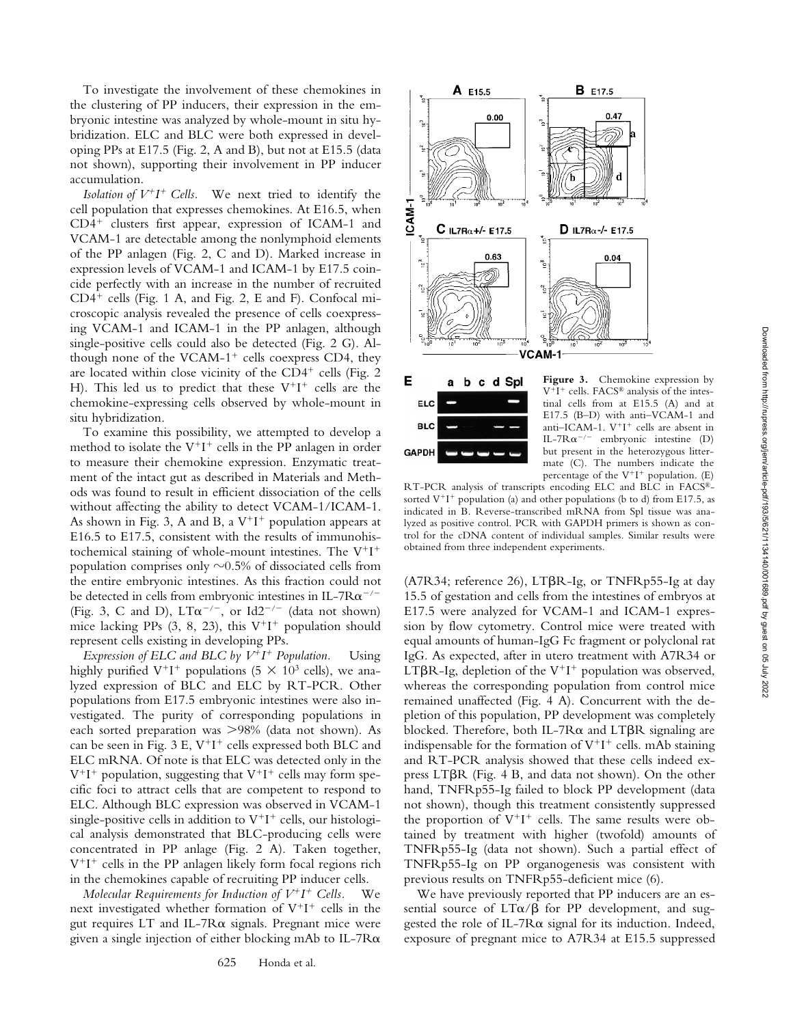To investigate the involvement of these chemokines in the clustering of PP inducers, their expression in the embryonic intestine was analyzed by whole-mount in situ hybridization. ELC and BLC were both expressed in developing PPs at E17.5 (Fig. 2, A and B), but not at E15.5 (data not shown), supporting their involvement in PP inducer accumulation.

*Isolation of*  $V^+I^+$  *Cells.* We next tried to identify the cell population that expresses chemokines. At E16.5, when  $CD4<sup>+</sup>$  clusters first appear, expression of ICAM-1 and VCAM-1 are detectable among the nonlymphoid elements of the PP anlagen (Fig. 2, C and D). Marked increase in expression levels of VCAM-1 and ICAM-1 by E17.5 coincide perfectly with an increase in the number of recruited  $CD4^+$  cells (Fig. 1 A, and Fig. 2, E and F). Confocal microscopic analysis revealed the presence of cells coexpressing VCAM-1 and ICAM-1 in the PP anlagen, although single-positive cells could also be detected (Fig. 2 G). Although none of the VCAM-1<sup>+</sup> cells coexpress CD4, they are located within close vicinity of the CD4<sup>+</sup> cells (Fig. 2 H). This led us to predict that these  $V^+I^+$  cells are the chemokine-expressing cells observed by whole-mount in situ hybridization.

To examine this possibility, we attempted to develop a method to isolate the  $V^+I^+$  cells in the PP anlagen in order to measure their chemokine expression. Enzymatic treatment of the intact gut as described in Materials and Methods was found to result in efficient dissociation of the cells without affecting the ability to detect VCAM-1/ICAM-1. As shown in Fig. 3, A and B, a  $V^+I^+$  population appears at E16.5 to E17.5, consistent with the results of immunohistochemical staining of whole-mount intestines. The  $V^+I^+$ population comprises only  $\sim 0.5\%$  of dissociated cells from the entire embryonic intestines. As this fraction could not be detected in cells from embryonic intestines in IL-7R $\alpha$ <sup>-/-</sup> (Fig. 3, C and D),  $LT\alpha^{-/-}$ , or Id2<sup>-/-</sup> (data not shown) mice lacking PPs (3, 8, 23), this  $V^+I^+$  population should represent cells existing in developing PPs.

*Expression of ELC and BLC by*  $V^+I^+$  *Population.* Using highly purified V<sup>+</sup>I<sup>+</sup> populations (5  $\times$  10<sup>3</sup> cells), we analyzed expression of BLC and ELC by RT-PCR. Other populations from E17.5 embryonic intestines were also investigated. The purity of corresponding populations in each sorted preparation was  $>98\%$  (data not shown). As can be seen in Fig. 3 E,  $V^+I^+$  cells expressed both BLC and ELC mRNA. Of note is that ELC was detected only in the  $V^+I^+$  population, suggesting that  $V^+I^+$  cells may form specific foci to attract cells that are competent to respond to ELC. Although BLC expression was observed in VCAM-1 single-positive cells in addition to  $V^+I^+$  cells, our histological analysis demonstrated that BLC-producing cells were concentrated in PP anlage (Fig. 2 A). Taken together,  $V^+I^+$  cells in the PP anlagen likely form focal regions rich in the chemokines capable of recruiting PP inducer cells.

*Molecular Requirements for Induction of*  $V^+I^+$  *Cells.* We next investigated whether formation of  $V^+I^+$  cells in the gut requires  $LT$  and  $IL$ -7 $R\alpha$  signals. Pregnant mice were given a single injection of either blocking mAb to IL-7 $R\alpha$ 





**Figure 3.** Chemokine expression by  $V^+I^+$  cells. FACS<sup>®</sup> analysis of the intestinal cells from at E15.5 (A) and at E17.5 (B–D) with anti–VCAM-1 and anti-ICAM-1.  $V^+I^+$  cells are absent in IL-7R $\alpha$ <sup>-/-</sup> embryonic intestine (D) but present in the heterozygous littermate (C). The numbers indicate the percentage of the  $V^+I^+$  population. (E)

RT-PCR analysis of transcripts encoding ELC and BLC in FACS® sorted  $V^+I^+$  population (a) and other populations (b to d) from E17.5, as indicated in B. Reverse-transcribed mRNA from Spl tissue was analyzed as positive control. PCR with GAPDH primers is shown as control for the cDNA content of individual samples. Similar results were obtained from three independent experiments.

(A7R34; reference 26),  $LT\beta R$ -Ig, or TNFRp55-Ig at day 15.5 of gestation and cells from the intestines of embryos at E17.5 were analyzed for VCAM-1 and ICAM-1 expression by flow cytometry. Control mice were treated with equal amounts of human-IgG Fc fragment or polyclonal rat IgG. As expected, after in utero treatment with A7R34 or LT $\beta$ R-Ig, depletion of the V<sup>+</sup>I<sup>+</sup> population was observed, whereas the corresponding population from control mice remained unaffected (Fig. 4 A). Concurrent with the depletion of this population, PP development was completely blocked. Therefore, both IL-7R $\alpha$  and LT $\beta$ R signaling are indispensable for the formation of  $V^+I^+$  cells. mAb staining and RT-PCR analysis showed that these cells indeed express  $LT\beta R$  (Fig. 4 B, and data not shown). On the other hand, TNFRp55-Ig failed to block PP development (data not shown), though this treatment consistently suppressed the proportion of  $V^+I^+$  cells. The same results were obtained by treatment with higher (twofold) amounts of TNFRp55-Ig (data not shown). Such a partial effect of TNFRp55-Ig on PP organogenesis was consistent with previous results on TNFRp55-deficient mice (6).

We have previously reported that PP inducers are an essential source of  $LT\alpha/\beta$  for PP development, and suggested the role of IL-7Ra signal for its induction. Indeed, exposure of pregnant mice to A7R34 at E15.5 suppressed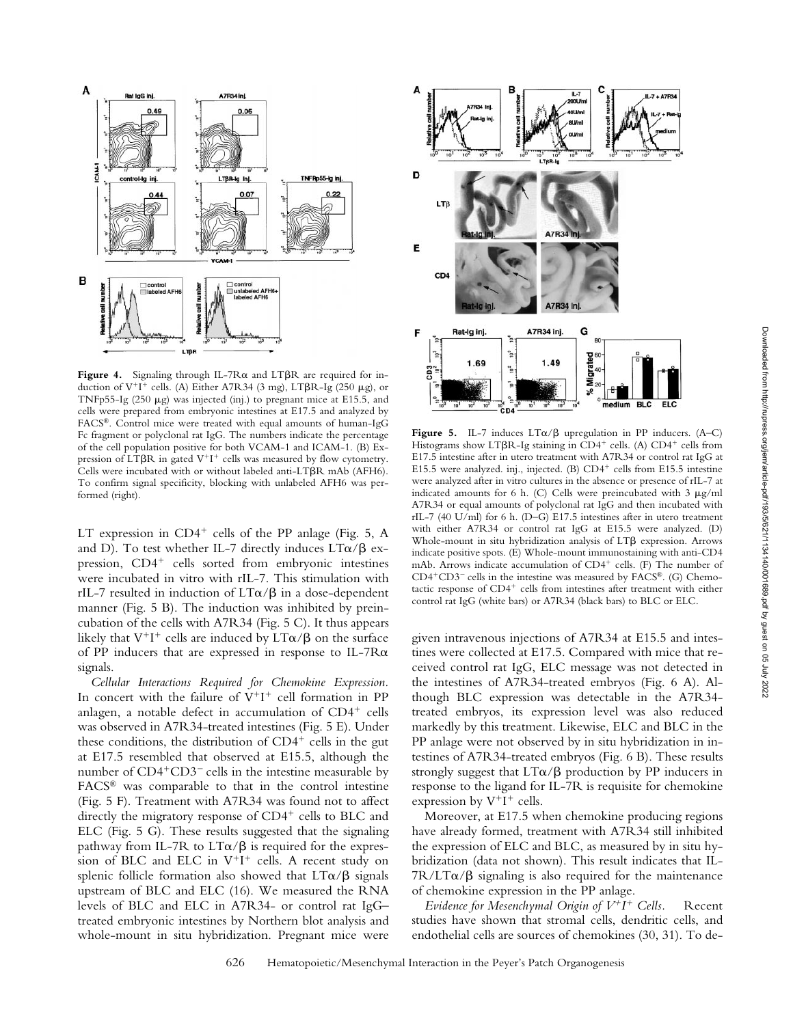

Figure 4. Signaling through IL-7R $\alpha$  and LT $\beta$ R are required for induction of  $V^+I^+$  cells. (A) Either A7R34 (3 mg), LT $\beta$ R-Ig (250 µg), or TNFp55-Ig  $(250 \mu g)$  was injected (inj.) to pregnant mice at E15.5, and cells were prepared from embryonic intestines at E17.5 and analyzed by FACS®. Control mice were treated with equal amounts of human-IgG Fc fragment or polyclonal rat IgG. The numbers indicate the percentage of the cell population positive for both VCAM-1 and ICAM-1. (B) Expression of LT $\beta$ R in gated V<sup>+</sup>I<sup>+</sup> cells was measured by flow cytometry. Cells were incubated with or without labeled anti-LT $\beta$ R mAb (AFH6). To confirm signal specificity, blocking with unlabeled AFH6 was performed (right).

LT expression in  $CD4^+$  cells of the PP anlage (Fig. 5, A and D). To test whether IL-7 directly induces  $LT\alpha/\beta$  expression,  $CD4^+$  cells sorted from embryonic intestines were incubated in vitro with rIL-7. This stimulation with rIL-7 resulted in induction of  $LT\alpha/\beta$  in a dose-dependent manner (Fig. 5 B). The induction was inhibited by preincubation of the cells with A7R34 (Fig. 5 C). It thus appears likely that  $V^+I^+$  cells are induced by  $LT\alpha/\beta$  on the surface of PP inducers that are expressed in response to IL-7Ra signals.

*Cellular Interactions Required for Chemokine Expression.* In concert with the failure of  $V^+I^+$  cell formation in PP anlagen, a notable defect in accumulation of  $CD4^+$  cells was observed in A7R34-treated intestines (Fig. 5 E). Under these conditions, the distribution of  $CD4^+$  cells in the gut at E17.5 resembled that observed at E15.5, although the number of  $CD4+CD3$ <sup>-</sup> cells in the intestine measurable by FACS® was comparable to that in the control intestine (Fig. 5 F). Treatment with A7R34 was found not to affect directly the migratory response of  $CD4^+$  cells to BLC and ELC (Fig. 5 G). These results suggested that the signaling pathway from IL-7R to  $LT\alpha/\beta$  is required for the expression of BLC and ELC in  $V^+I^+$  cells. A recent study on splenic follicle formation also showed that  $LT\alpha/\beta$  signals upstream of BLC and ELC (16). We measured the RNA levels of BLC and ELC in A7R34- or control rat IgG– treated embryonic intestines by Northern blot analysis and whole-mount in situ hybridization. Pregnant mice were



Figure 5. IL-7 induces  $LT\alpha/\beta$  upregulation in PP inducers. (A–C) Histograms show LT $\beta$ R-Ig staining in CD4<sup>+</sup> cells. (A) CD4<sup>+</sup> cells from E17.5 intestine after in utero treatment with A7R34 or control rat IgG at E15.5 were analyzed. inj., injected. (B) CD4<sup>+</sup> cells from E15.5 intestine were analyzed after in vitro cultures in the absence or presence of rIL-7 at indicated amounts for 6 h. (C) Cells were preincubated with  $3 \mu g/ml$ A7R34 or equal amounts of polyclonal rat IgG and then incubated with rIL-7 (40 U/ml) for 6 h. (D–G) E17.5 intestines after in utero treatment with either A7R34 or control rat IgG at E15.5 were analyzed. (D) Whole-mount in situ hybridization analysis of LTB expression. Arrows indicate positive spots. (E) Whole-mount immunostaining with anti-CD4 mAb. Arrows indicate accumulation of  $CD4^+$  cells. (F) The number of  $CD4+CD3$ <sup>-</sup> cells in the intestine was measured by FACS®. (G) Chemotactic response of CD4<sup>+</sup> cells from intestines after treatment with either control rat IgG (white bars) or A7R34 (black bars) to BLC or ELC.

given intravenous injections of A7R34 at E15.5 and intestines were collected at E17.5. Compared with mice that received control rat IgG, ELC message was not detected in the intestines of A7R34-treated embryos (Fig. 6 A). Although BLC expression was detectable in the A7R34 treated embryos, its expression level was also reduced markedly by this treatment. Likewise, ELC and BLC in the PP anlage were not observed by in situ hybridization in intestines of A7R34-treated embryos (Fig. 6 B). These results strongly suggest that  $LT\alpha/\beta$  production by PP inducers in response to the ligand for IL-7R is requisite for chemokine expression by  $V^+I^+$  cells.

Moreover, at E17.5 when chemokine producing regions have already formed, treatment with A7R34 still inhibited the expression of ELC and BLC, as measured by in situ hybridization (data not shown). This result indicates that IL- $7R/LT\alpha/\beta$  signaling is also required for the maintenance of chemokine expression in the PP anlage.

*Evidence for Mesenchymal Origin of*  $V^+I^+$  *Cells.* Recent studies have shown that stromal cells, dendritic cells, and endothelial cells are sources of chemokines (30, 31). To de-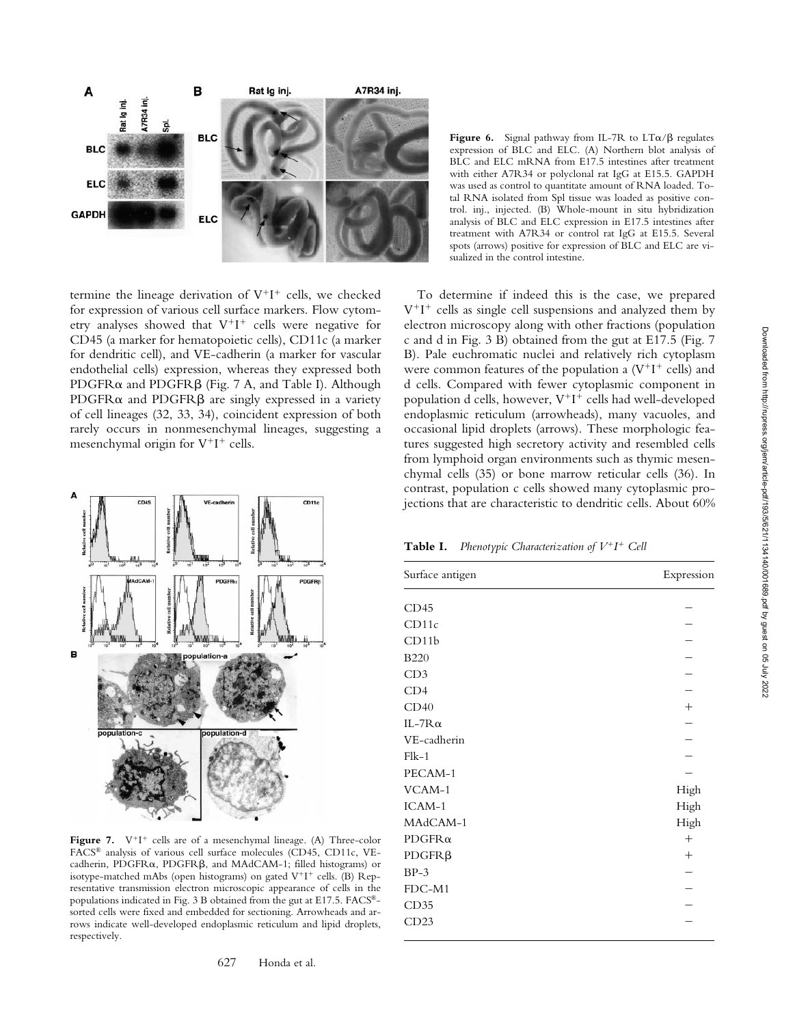

termine the lineage derivation of  $V^+I^+$  cells, we checked for expression of various cell surface markers. Flow cytometry analyses showed that  $V^+I^+$  cells were negative for CD45 (a marker for hematopoietic cells), CD11c (a marker for dendritic cell), and VE-cadherin (a marker for vascular endothelial cells) expression, whereas they expressed both PDGFR $\alpha$  and PDGFR $\beta$  (Fig. 7 A, and Table I). Although PDGFR $\alpha$  and PDGFR $\beta$  are singly expressed in a variety of cell lineages (32, 33, 34), coincident expression of both rarely occurs in nonmesenchymal lineages, suggesting a mesenchymal origin for  $V^+I^+$  cells.



Figure 7.  $V^+I^+$  cells are of a mesenchymal lineage. (A) Three-color FACS® analysis of various cell surface molecules (CD45, CD11c, VEcadherin, PDGFR $\alpha$ , PDGFR $\beta$ , and MAdCAM-1; filled histograms) or isotype-matched mAbs (open histograms) on gated V<sup>+</sup>I<sup>+</sup> cells. (B) Representative transmission electron microscopic appearance of cells in the populations indicated in Fig. 3 B obtained from the gut at E17.5. FACS® sorted cells were fixed and embedded for sectioning. Arrowheads and arrows indicate well-developed endoplasmic reticulum and lipid droplets, respectively.

**Figure 6.** Signal pathway from IL-7R to  $LT\alpha/\beta$  regulates expression of BLC and ELC. (A) Northern blot analysis of BLC and ELC mRNA from E17.5 intestines after treatment with either A7R34 or polyclonal rat IgG at E15.5. GAPDH was used as control to quantitate amount of RNA loaded. Total RNA isolated from Spl tissue was loaded as positive control. inj., injected. (B) Whole-mount in situ hybridization analysis of BLC and ELC expression in E17.5 intestines after treatment with A7R34 or control rat IgG at E15.5. Several spots (arrows) positive for expression of BLC and ELC are visualized in the control intestine.

To determine if indeed this is the case, we prepared  $V^+I^+$  cells as single cell suspensions and analyzed them by electron microscopy along with other fractions (population c and d in Fig. 3 B) obtained from the gut at E17.5 (Fig. 7 B). Pale euchromatic nuclei and relatively rich cytoplasm were common features of the population a  $(V^+I^+$  cells) and d cells. Compared with fewer cytoplasmic component in population d cells, however,  $V^+I^+$  cells had well-developed endoplasmic reticulum (arrowheads), many vacuoles, and occasional lipid droplets (arrows). These morphologic features suggested high secretory activity and resembled cells from lymphoid organ environments such as thymic mesenchymal cells (35) or bone marrow reticular cells (36). In contrast, population c cells showed many cytoplasmic projections that are characteristic to dendritic cells. About 60%

**Table I.** *Phenotypic Characterization of*  $V^+I^+$  *Cell* 

| Surface antigen | Expression      |
|-----------------|-----------------|
| CD45            |                 |
| CD11c           |                 |
| CD11b           |                 |
| <b>B220</b>     |                 |
| CD3             |                 |
| CD4             |                 |
| CD40            | $\! + \!\!\!\!$ |
| IL-7 $R\alpha$  |                 |
| VE-cadherin     |                 |
| $Flk-1$         |                 |
| PECAM-1         |                 |
| VCAM-1          | High            |
| ICAM-1          | High            |
| MAdCAM-1        | High            |
| $PDGFR\alpha$   | $^{+}$          |
| $PDGFR\beta$    | $^{+}$          |
| $BP-3$          |                 |
| FDC-M1          |                 |
| CD35            |                 |
| CD23            |                 |
|                 |                 |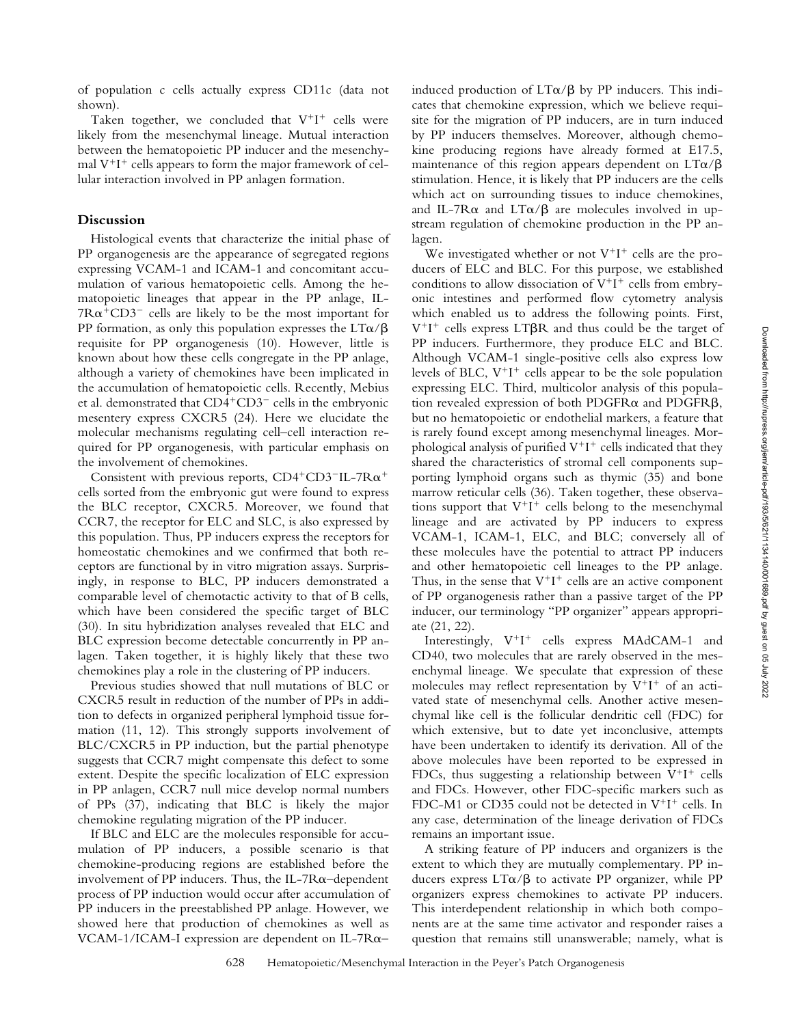of population c cells actually express CD11c (data not shown).

Taken together, we concluded that  $V^+I^+$  cells were likely from the mesenchymal lineage. Mutual interaction between the hematopoietic PP inducer and the mesenchymal  $V^+I^+$  cells appears to form the major framework of cellular interaction involved in PP anlagen formation.

## **Discussion**

Histological events that characterize the initial phase of PP organogenesis are the appearance of segregated regions expressing VCAM-1 and ICAM-1 and concomitant accumulation of various hematopoietic cells. Among the hematopoietic lineages that appear in the PP anlage, IL- $7R\alpha^+CD3^-$  cells are likely to be the most important for PP formation, as only this population expresses the  $LT\alpha/\beta$ requisite for PP organogenesis (10). However, little is known about how these cells congregate in the PP anlage, although a variety of chemokines have been implicated in the accumulation of hematopoietic cells. Recently, Mebius et al. demonstrated that  $CD4+CD3$ <sup>-</sup> cells in the embryonic mesentery express CXCR5 (24). Here we elucidate the molecular mechanisms regulating cell–cell interaction required for PP organogenesis, with particular emphasis on the involvement of chemokines.

Consistent with previous reports,  $CD4^+CD3^-$ IL-7R $\alpha^+$ cells sorted from the embryonic gut were found to express the BLC receptor, CXCR5. Moreover, we found that CCR7, the receptor for ELC and SLC, is also expressed by this population. Thus, PP inducers express the receptors for homeostatic chemokines and we confirmed that both receptors are functional by in vitro migration assays. Surprisingly, in response to BLC, PP inducers demonstrated a comparable level of chemotactic activity to that of B cells, which have been considered the specific target of BLC (30). In situ hybridization analyses revealed that ELC and BLC expression become detectable concurrently in PP anlagen. Taken together, it is highly likely that these two chemokines play a role in the clustering of PP inducers.

Previous studies showed that null mutations of BLC or CXCR5 result in reduction of the number of PPs in addition to defects in organized peripheral lymphoid tissue formation (11, 12). This strongly supports involvement of BLC/CXCR5 in PP induction, but the partial phenotype suggests that CCR7 might compensate this defect to some extent. Despite the specific localization of ELC expression in PP anlagen, CCR7 null mice develop normal numbers of PPs (37), indicating that BLC is likely the major chemokine regulating migration of the PP inducer.

If BLC and ELC are the molecules responsible for accumulation of PP inducers, a possible scenario is that chemokine-producing regions are established before the involvement of PP inducers. Thus, the IL-7 $R\alpha$ –dependent process of PP induction would occur after accumulation of PP inducers in the preestablished PP anlage. However, we showed here that production of chemokines as well as VCAM-1/ICAM-I expression are dependent on IL-7 $R\alpha$ –

induced production of  $LT\alpha/\beta$  by PP inducers. This indicates that chemokine expression, which we believe requisite for the migration of PP inducers, are in turn induced by PP inducers themselves. Moreover, although chemokine producing regions have already formed at E17.5, maintenance of this region appears dependent on  $LT\alpha/\beta$ stimulation. Hence, it is likely that PP inducers are the cells which act on surrounding tissues to induce chemokines, and IL-7R $\alpha$  and LT $\alpha$ / $\beta$  are molecules involved in upstream regulation of chemokine production in the PP anlagen.

We investigated whether or not  $V^+I^+$  cells are the producers of ELC and BLC. For this purpose, we established conditions to allow dissociation of  $V^+I^+$  cells from embryonic intestines and performed flow cytometry analysis which enabled us to address the following points. First,  $V^+I^+$  cells express LT $\beta$ R and thus could be the target of PP inducers. Furthermore, they produce ELC and BLC. Although VCAM-1 single-positive cells also express low levels of BLC,  $V^+I^+$  cells appear to be the sole population expressing ELC. Third, multicolor analysis of this population revealed expression of both PDGFR $\alpha$  and PDGFR $\beta$ , but no hematopoietic or endothelial markers, a feature that is rarely found except among mesenchymal lineages. Morphological analysis of purified  $V^+I^+$  cells indicated that they shared the characteristics of stromal cell components supporting lymphoid organs such as thymic (35) and bone marrow reticular cells (36). Taken together, these observations support that  $V^+I^+$  cells belong to the mesenchymal lineage and are activated by PP inducers to express VCAM-1, ICAM-1, ELC, and BLC; conversely all of these molecules have the potential to attract PP inducers and other hematopoietic cell lineages to the PP anlage. Thus, in the sense that  $V^+I^+$  cells are an active component of PP organogenesis rather than a passive target of the PP inducer, our terminology "PP organizer" appears appropriate (21, 22).

Interestingly,  $V^+I^+$  cells express MAdCAM-1 and CD40, two molecules that are rarely observed in the mesenchymal lineage. We speculate that expression of these molecules may reflect representation by  $V^+I^+$  of an activated state of mesenchymal cells. Another active mesenchymal like cell is the follicular dendritic cell (FDC) for which extensive, but to date yet inconclusive, attempts have been undertaken to identify its derivation. All of the above molecules have been reported to be expressed in FDCs, thus suggesting a relationship between  $V^+I^+$  cells and FDCs. However, other FDC-specific markers such as FDC-M1 or CD35 could not be detected in  $V^+I^+$  cells. In any case, determination of the lineage derivation of FDCs remains an important issue.

A striking feature of PP inducers and organizers is the extent to which they are mutually complementary. PP inducers express  $LT\alpha/\beta$  to activate PP organizer, while PP organizers express chemokines to activate PP inducers. This interdependent relationship in which both components are at the same time activator and responder raises a question that remains still unanswerable; namely, what is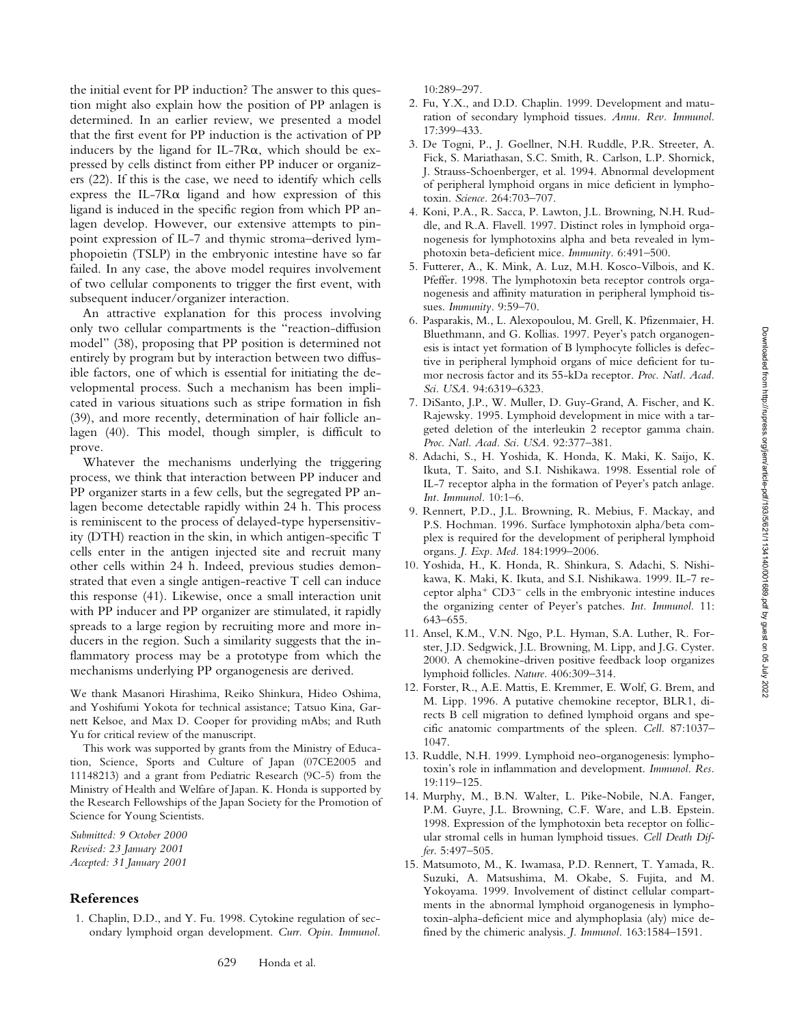the initial event for PP induction? The answer to this question might also explain how the position of PP anlagen is determined. In an earlier review, we presented a model that the first event for PP induction is the activation of PP inducers by the ligand for IL-7 $R\alpha$ , which should be expressed by cells distinct from either PP inducer or organizers (22). If this is the case, we need to identify which cells express the IL-7 $R\alpha$  ligand and how expression of this ligand is induced in the specific region from which PP anlagen develop. However, our extensive attempts to pinpoint expression of IL-7 and thymic stroma–derived lymphopoietin (TSLP) in the embryonic intestine have so far failed. In any case, the above model requires involvement of two cellular components to trigger the first event, with subsequent inducer/organizer interaction.

An attractive explanation for this process involving only two cellular compartments is the "reaction-diffusion model" (38), proposing that PP position is determined not entirely by program but by interaction between two diffusible factors, one of which is essential for initiating the developmental process. Such a mechanism has been implicated in various situations such as stripe formation in fish (39), and more recently, determination of hair follicle anlagen (40). This model, though simpler, is difficult to prove.

Whatever the mechanisms underlying the triggering process, we think that interaction between PP inducer and PP organizer starts in a few cells, but the segregated PP anlagen become detectable rapidly within 24 h. This process is reminiscent to the process of delayed-type hypersensitivity (DTH) reaction in the skin, in which antigen-specific T cells enter in the antigen injected site and recruit many other cells within 24 h. Indeed, previous studies demonstrated that even a single antigen-reactive T cell can induce this response (41). Likewise, once a small interaction unit with PP inducer and PP organizer are stimulated, it rapidly spreads to a large region by recruiting more and more inducers in the region. Such a similarity suggests that the inflammatory process may be a prototype from which the mechanisms underlying PP organogenesis are derived.

We thank Masanori Hirashima, Reiko Shinkura, Hideo Oshima, and Yoshifumi Yokota for technical assistance; Tatsuo Kina, Garnett Kelsoe, and Max D. Cooper for providing mAbs; and Ruth Yu for critical review of the manuscript.

This work was supported by grants from the Ministry of Education, Science, Sports and Culture of Japan (07CE2005 and 11148213) and a grant from Pediatric Research (9C-5) from the Ministry of Health and Welfare of Japan. K. Honda is supported by the Research Fellowships of the Japan Society for the Promotion of Science for Young Scientists.

*Submitted: 9 October 2000 Revised: 23 January 2001 Accepted: 31 January 2001*

## **References**

1. Chaplin, D.D., and Y. Fu. 1998. Cytokine regulation of secondary lymphoid organ development. *Curr. Opin. Immunol.* 10:289–297.

- 2. Fu, Y.X., and D.D. Chaplin. 1999. Development and maturation of secondary lymphoid tissues. *Annu. Rev. Immunol.* 17:399–433.
- 3. De Togni, P., J. Goellner, N.H. Ruddle, P.R. Streeter, A. Fick, S. Mariathasan, S.C. Smith, R. Carlson, L.P. Shornick, J. Strauss-Schoenberger, et al. 1994. Abnormal development of peripheral lymphoid organs in mice deficient in lymphotoxin. *Science.* 264:703–707.
- 4. Koni, P.A., R. Sacca, P. Lawton, J.L. Browning, N.H. Ruddle, and R.A. Flavell. 1997. Distinct roles in lymphoid organogenesis for lymphotoxins alpha and beta revealed in lymphotoxin beta-deficient mice. *Immunity.* 6:491–500.
- 5. Futterer, A., K. Mink, A. Luz, M.H. Kosco-Vilbois, and K. Pfeffer. 1998. The lymphotoxin beta receptor controls organogenesis and affinity maturation in peripheral lymphoid tissues. *Immunity.* 9:59–70.
- 6. Pasparakis, M., L. Alexopoulou, M. Grell, K. Pfizenmaier, H. Bluethmann, and G. Kollias. 1997. Peyer's patch organogenesis is intact yet formation of B lymphocyte follicles is defective in peripheral lymphoid organs of mice deficient for tumor necrosis factor and its 55-kDa receptor. *Proc. Natl. Acad. Sci. USA.* 94:6319–6323.
- 7. DiSanto, J.P., W. Muller, D. Guy-Grand, A. Fischer, and K. Rajewsky. 1995. Lymphoid development in mice with a targeted deletion of the interleukin 2 receptor gamma chain. *Proc. Natl. Acad. Sci. USA.* 92:377–381.
- 8. Adachi, S., H. Yoshida, K. Honda, K. Maki, K. Saijo, K. Ikuta, T. Saito, and S.I. Nishikawa. 1998. Essential role of IL-7 receptor alpha in the formation of Peyer's patch anlage. *Int. Immunol.* 10:1–6.
- 9. Rennert, P.D., J.L. Browning, R. Mebius, F. Mackay, and P.S. Hochman. 1996. Surface lymphotoxin alpha/beta complex is required for the development of peripheral lymphoid organs. *J. Exp. Med.* 184:1999–2006.
- 10. Yoshida, H., K. Honda, R. Shinkura, S. Adachi, S. Nishikawa, K. Maki, K. Ikuta, and S.I. Nishikawa. 1999. IL-7 receptor alpha<sup>+</sup>  $CD3$ <sup>-</sup> cells in the embryonic intestine induces the organizing center of Peyer's patches. *Int. Immunol.* 11: 643–655.
- 11. Ansel, K.M., V.N. Ngo, P.L. Hyman, S.A. Luther, R. Forster, J.D. Sedgwick, J.L. Browning, M. Lipp, and J.G. Cyster. 2000. A chemokine-driven positive feedback loop organizes lymphoid follicles. *Nature.* 406:309–314.
- 12. Forster, R., A.E. Mattis, E. Kremmer, E. Wolf, G. Brem, and M. Lipp. 1996. A putative chemokine receptor, BLR1, directs B cell migration to defined lymphoid organs and specific anatomic compartments of the spleen. *Cell.* 87:1037– 1047.
- 13. Ruddle, N.H. 1999. Lymphoid neo-organogenesis: lymphotoxin's role in inflammation and development. *Immunol. Res.* 19:119–125.
- 14. Murphy, M., B.N. Walter, L. Pike-Nobile, N.A. Fanger, P.M. Guyre, J.L. Browning, C.F. Ware, and L.B. Epstein. 1998. Expression of the lymphotoxin beta receptor on follicular stromal cells in human lymphoid tissues. *Cell Death Differ.* 5:497–505.
- 15. Matsumoto, M., K. Iwamasa, P.D. Rennert, T. Yamada, R. Suzuki, A. Matsushima, M. Okabe, S. Fujita, and M. Yokoyama. 1999. Involvement of distinct cellular compartments in the abnormal lymphoid organogenesis in lymphotoxin-alpha-deficient mice and alymphoplasia (aly) mice defined by the chimeric analysis. *J. Immunol.* 163:1584–1591.